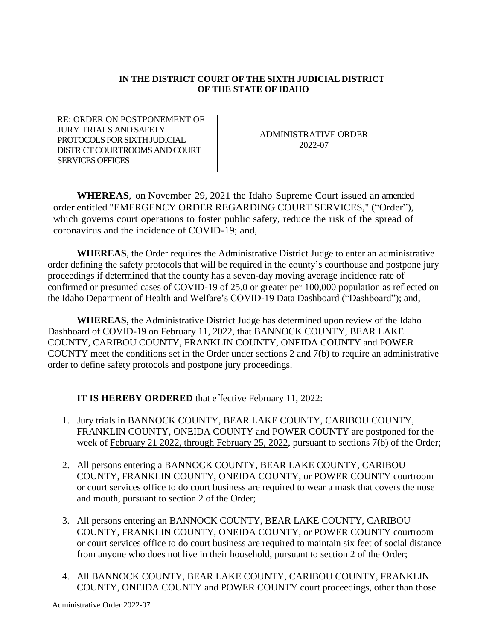## **IN THE DISTRICT COURT OF THE SIXTH JUDICIAL DISTRICT OF THE STATE OF IDAHO**

RE: ORDER ON POSTPONEMENT OF JURY TRIALS AND SAFETY PROTOCOLS FOR SIXTH JUDICIAL DISTRICT COURTROOMS AND COURT SERVICES OFFICES

ADMINISTRATIVE ORDER 2022-07

**WHEREAS**, on November 29, 2021 the Idaho Supreme Court issued an amended order entitled "EMERGENCY ORDER REGARDING COURT SERVICES," ("Order"), which governs court operations to foster public safety, reduce the risk of the spread of coronavirus and the incidence of COVID-19; and,

**WHEREAS**, the Order requires the Administrative District Judge to enter an administrative order defining the safety protocols that will be required in the county's courthouse and postpone jury proceedings if determined that the county has a seven-day moving average incidence rate of confirmed or presumed cases of COVID-19 of 25.0 or greater per 100,000 population as reflected on the Idaho Department of Health and Welfare's COVID-19 Data Dashboard ("Dashboard"); and,

**WHEREAS**, the Administrative District Judge has determined upon review of the Idaho Dashboard of COVID-19 on February 11, 2022, that BANNOCK COUNTY, BEAR LAKE COUNTY, CARIBOU COUNTY, FRANKLIN COUNTY, ONEIDA COUNTY and POWER COUNTY meet the conditions set in the Order under sections 2 and 7(b) to require an administrative order to define safety protocols and postpone jury proceedings.

**IT IS HEREBY ORDERED** that effective February 11, 2022:

- 1. Jury trials in BANNOCK COUNTY, BEAR LAKE COUNTY, CARIBOU COUNTY, FRANKLIN COUNTY, ONEIDA COUNTY and POWER COUNTY are postponed for the week of February 21 2022, through February 25, 2022, pursuant to sections 7(b) of the Order;
- 2. All persons entering a BANNOCK COUNTY, BEAR LAKE COUNTY, CARIBOU COUNTY, FRANKLIN COUNTY, ONEIDA COUNTY, or POWER COUNTY courtroom or court services office to do court business are required to wear a mask that covers the nose and mouth, pursuant to section 2 of the Order;
- 3. All persons entering an BANNOCK COUNTY, BEAR LAKE COUNTY, CARIBOU COUNTY, FRANKLIN COUNTY, ONEIDA COUNTY, or POWER COUNTY courtroom or court services office to do court business are required to maintain six feet of social distance from anyone who does not live in their household, pursuant to section 2 of the Order;
- 4. All BANNOCK COUNTY, BEAR LAKE COUNTY, CARIBOU COUNTY, FRANKLIN COUNTY, ONEIDA COUNTY and POWER COUNTY court proceedings, other than those